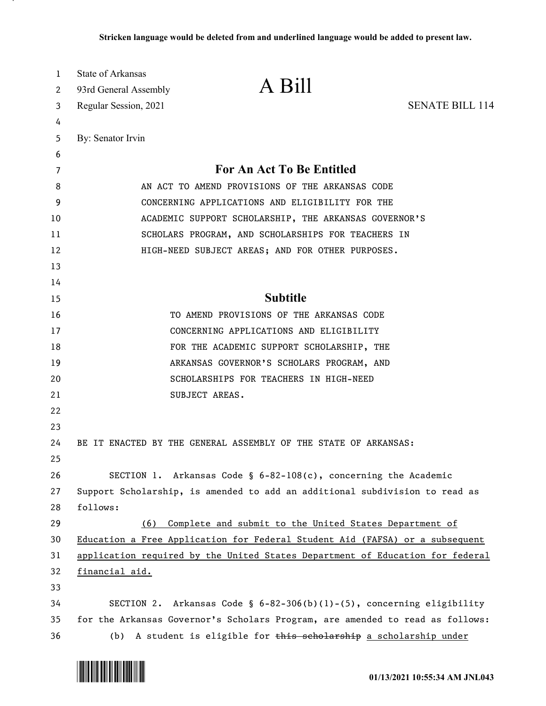| 1<br>2 | <b>State of Arkansas</b><br>93rd General Assembly                             | A Bill                                                                       |                        |  |
|--------|-------------------------------------------------------------------------------|------------------------------------------------------------------------------|------------------------|--|
| 3      | Regular Session, 2021                                                         |                                                                              | <b>SENATE BILL 114</b> |  |
| 4      |                                                                               |                                                                              |                        |  |
| 5      | By: Senator Irvin                                                             |                                                                              |                        |  |
| 6      |                                                                               |                                                                              |                        |  |
| 7      |                                                                               | For An Act To Be Entitled                                                    |                        |  |
| 8      | AN ACT TO AMEND PROVISIONS OF THE ARKANSAS CODE                               |                                                                              |                        |  |
| 9      |                                                                               | CONCERNING APPLICATIONS AND ELIGIBILITY FOR THE                              |                        |  |
| 10     | ACADEMIC SUPPORT SCHOLARSHIP, THE ARKANSAS GOVERNOR'S                         |                                                                              |                        |  |
| 11     | SCHOLARS PROGRAM, AND SCHOLARSHIPS FOR TEACHERS IN                            |                                                                              |                        |  |
| 12     | HIGH-NEED SUBJECT AREAS; AND FOR OTHER PURPOSES.                              |                                                                              |                        |  |
| 13     |                                                                               |                                                                              |                        |  |
| 14     |                                                                               |                                                                              |                        |  |
| 15     | <b>Subtitle</b>                                                               |                                                                              |                        |  |
| 16     | TO AMEND PROVISIONS OF THE ARKANSAS CODE                                      |                                                                              |                        |  |
| 17     | CONCERNING APPLICATIONS AND ELIGIBILITY                                       |                                                                              |                        |  |
| 18     |                                                                               | FOR THE ACADEMIC SUPPORT SCHOLARSHIP, THE                                    |                        |  |
| 19     |                                                                               | ARKANSAS GOVERNOR'S SCHOLARS PROGRAM, AND                                    |                        |  |
| 20     |                                                                               | SCHOLARSHIPS FOR TEACHERS IN HIGH-NEED                                       |                        |  |
| 21     |                                                                               | SUBJECT AREAS.                                                               |                        |  |
| 22     |                                                                               |                                                                              |                        |  |
| 23     |                                                                               |                                                                              |                        |  |
| 24     |                                                                               | BE IT ENACTED BY THE GENERAL ASSEMBLY OF THE STATE OF ARKANSAS:              |                        |  |
| 25     |                                                                               |                                                                              |                        |  |
| 26     |                                                                               | SECTION 1. Arkansas Code § 6-82-108(c), concerning the Academic              |                        |  |
| 27     | Support Scholarship, is amended to add an additional subdivision to read as   |                                                                              |                        |  |
| 28     | follows:                                                                      |                                                                              |                        |  |
| 29     | (6)                                                                           | Complete and submit to the United States Department of                       |                        |  |
| 30     |                                                                               | Education a Free Application for Federal Student Aid (FAFSA) or a subsequent |                        |  |
| 31     | application required by the United States Department of Education for federal |                                                                              |                        |  |
| 32     | <u>financial aid.</u>                                                         |                                                                              |                        |  |
| 33     |                                                                               |                                                                              |                        |  |
| 34     |                                                                               | SECTION 2. Arkansas Code § $6-82-306(b)(1)-(5)$ , concerning eligibility     |                        |  |
| 35     | for the Arkansas Governor's Scholars Program, are amended to read as follows: |                                                                              |                        |  |
| 36     |                                                                               | (b) A student is eligible for this scholarship a scholarship under           |                        |  |

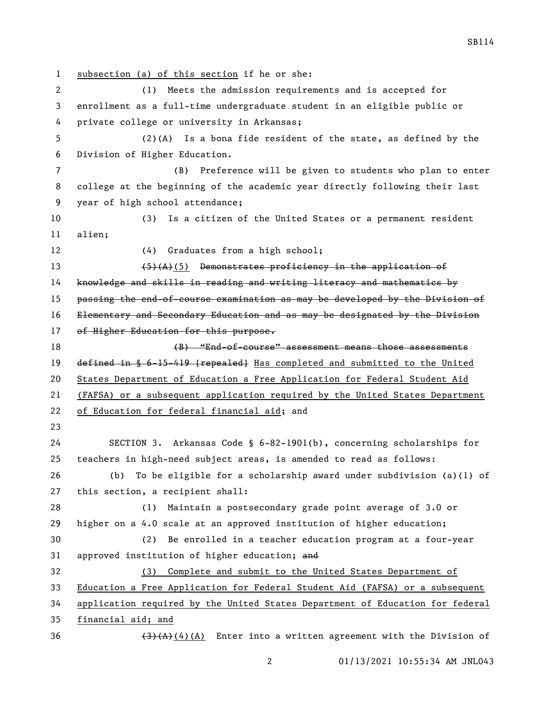subsection (a) of this section if he or she: (1) Meets the admission requirements and is accepted for enrollment as a full-time undergraduate student in an eligible public or private college or university in Arkansas; (2)(A) Is a bona fide resident of the state, as defined by the Division of Higher Education. (B) Preference will be given to students who plan to enter college at the beginning of the academic year directly following their last year of high school attendance; (3) Is a citizen of the United States or a permanent resident alien; 12 (4) Graduates from a high school; 13 (5)(A)(5) Demonstrates proficiency in the application of knowledge and skills in reading and writing literacy and mathematics by 15 passing the end-of-course examination as may be developed by the Division of Elementary and Secondary Education and as may be designated by the Division 17 of Higher Education for this purpose. (B) "End-of-course" assessment means those assessments 19 defined in § 6-15-419 [repealed] Has completed and submitted to the United States Department of Education a Free Application for Federal Student Aid (FAFSA) or a subsequent application required by the United States Department of Education for federal financial aid; and SECTION 3. Arkansas Code § 6-82-1901(b), concerning scholarships for teachers in high-need subject areas, is amended to read as follows: (b) To be eligible for a scholarship award under subdivision (a)(1) of this section, a recipient shall: (1) Maintain a postsecondary grade point average of 3.0 or higher on a 4.0 scale at an approved institution of higher education; (2) Be enrolled in a teacher education program at a four-year 31 approved institution of higher education; and (3) Complete and submit to the United States Department of Education a Free Application for Federal Student Aid (FAFSA) or a subsequent application required by the United States Department of Education for federal financial aid; and  $(3)(A)(A)$  Enter into a written agreement with the Division of

SB114

01/13/2021 10:55:34 AM JNL043